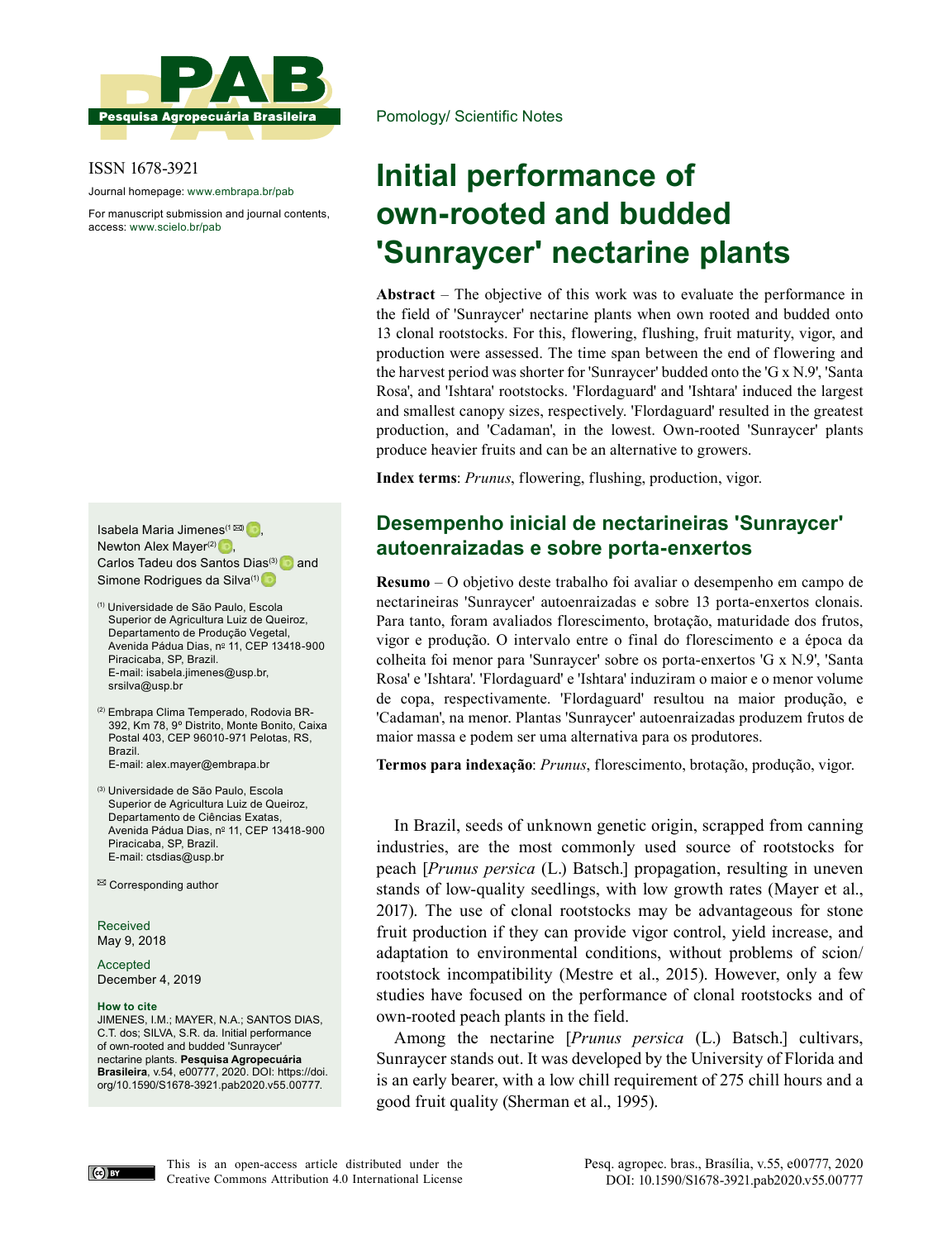

ISSN 1678-3921

Journal homepage: www.embrapa.br/pab

For manuscript submission and journal contents, access: www.scielo.br/pab

Isabela Maria Jimenes<sup> $(1 \boxtimes)$ </sup> Newton Alex Mayer $(2)$ , Carlos Tadeu dos Santos Dias<sup>(3)</sup> and Simone Rodrigues da Silva<sup>(1)</sup>

(1) Universidade de São Paulo, Escola Superior de Agricultura Luiz de Queiroz, Departamento de Produção Vegetal, Avenida Pádua Dias, nº 11, CEP 13418-900 Piracicaba, SP, Brazil. E-mail: isabela.jimenes@usp.br, srsilva@usp.br

(2) Embrapa Clima Temperado, Rodovia BR-392, Km 78, 9º Distrito, Monte Bonito, Caixa Postal 403, CEP 96010-971 Pelotas, RS, Brazil. E-mail: alex.mayer@embrapa.br

(3) Universidade de São Paulo, Escola Superior de Agricultura Luiz de Queiroz, Departamento de Ciências Exatas, Avenida Pádua Dias, nº 11, CEP 13418-900 Piracicaba, SP, Brazil. E-mail: ctsdias@usp.br

 $\boxtimes$  Corresponding author

Received May 9, 2018

Accepted December 4, 2019

#### **How to cite**

JIMENES, I.M.; MAYER, N.A.; SANTOS DIAS, C.T. dos; SILVA, S.R. da. Initial performance of own-rooted and budded 'Sunraycer' nectarine plants. **Pesquisa Agropecuária Brasileira**, v.54, e00777, 2020. DOI: https://doi. org/10.1590/S1678-3921.pab2020.v55.00777.

Pomology/ Scientific Notes

# **Initial performance of own-rooted and budded 'Sunraycer' nectarine plants**

**Abstract** – The objective of this work was to evaluate the performance in the field of 'Sunraycer' nectarine plants when own rooted and budded onto 13 clonal rootstocks. For this, flowering, flushing, fruit maturity, vigor, and production were assessed. The time span between the end of flowering and the harvest period was shorter for 'Sunraycer' budded onto the 'G x N.9', 'Santa Rosa', and 'Ishtara' rootstocks. 'Flordaguard' and 'Ishtara' induced the largest and smallest canopy sizes, respectively. 'Flordaguard' resulted in the greatest production, and 'Cadaman', in the lowest. Own-rooted 'Sunraycer' plants produce heavier fruits and can be an alternative to growers.

**Index terms**: *Prunus*, flowering, flushing, production, vigor.

## **Desempenho inicial de nectarineiras 'Sunraycer' autoenraizadas e sobre porta-enxertos**

**Resumo** – O objetivo deste trabalho foi avaliar o desempenho em campo de nectarineiras 'Sunraycer' autoenraizadas e sobre 13 porta-enxertos clonais. Para tanto, foram avaliados florescimento, brotação, maturidade dos frutos, vigor e produção. O intervalo entre o final do florescimento e a época da colheita foi menor para 'Sunraycer' sobre os porta-enxertos 'G x N.9', 'Santa Rosa' e 'Ishtara'. 'Flordaguard' e 'Ishtara' induziram o maior e o menor volume de copa, respectivamente. 'Flordaguard' resultou na maior produção, e 'Cadaman', na menor. Plantas 'Sunraycer' autoenraizadas produzem frutos de maior massa e podem ser uma alternativa para os produtores.

**Termos para indexação**: *Prunus*, florescimento, brotação, produção, vigor.

In Brazil, seeds of unknown genetic origin, scrapped from canning industries, are the most commonly used source of rootstocks for peach [*Prunus persica* (L.) Batsch.] propagation, resulting in uneven stands of low-quality seedlings, with low growth rates (Mayer et al., 2017). The use of clonal rootstocks may be advantageous for stone fruit production if they can provide vigor control, yield increase, and adaptation to environmental conditions, without problems of scion/ rootstock incompatibility (Mestre et al., 2015). However, only a few studies have focused on the performance of clonal rootstocks and of own-rooted peach plants in the field.

Among the nectarine [*Prunus persica* (L.) Batsch.] cultivars, Sunraycer stands out. It was developed by the University of Florida and is an early bearer, with a low chill requirement of 275 chill hours and a good fruit quality (Sherman et al., 1995).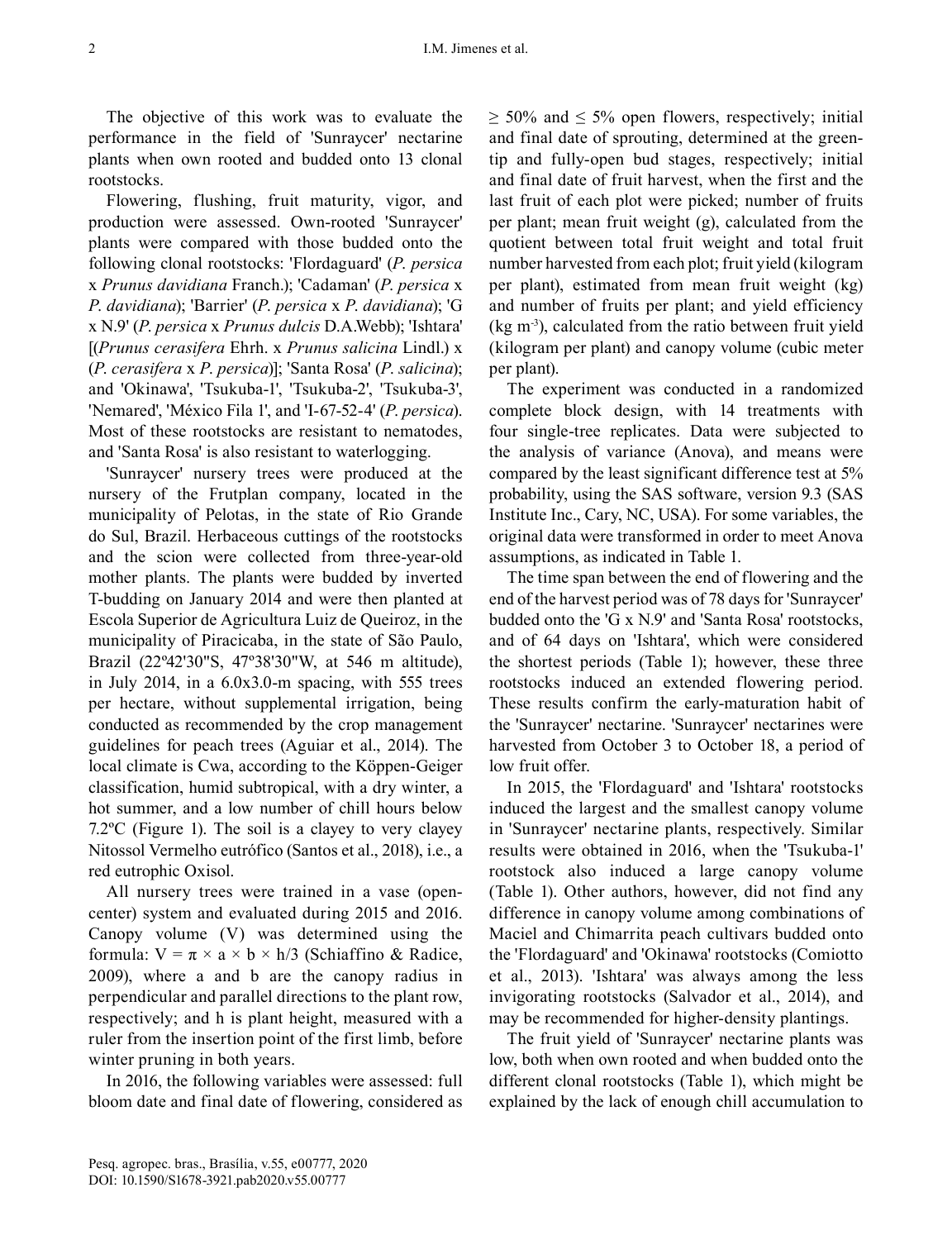The objective of this work was to evaluate the performance in the field of 'Sunraycer' nectarine plants when own rooted and budded onto 13 clonal rootstocks.

Flowering, flushing, fruit maturity, vigor, and production were assessed. Own-rooted 'Sunraycer' plants were compared with those budded onto the following clonal rootstocks: 'Flordaguard' (*P*. *persica* x *Prunus davidiana* Franch.); 'Cadaman' (*P*. *persica* x *P*. *davidiana*); 'Barrier' (*P*. *persica* x *P*. *davidiana*); 'G x N.9' (*P*. *persica* x *Prunus dulcis* D.A.Webb); 'Ishtara' [(*Prunus cerasifera* Ehrh. x *Prunus salicina* Lindl.) x (*P*. *cerasifera* x *P*. *persica*)]; 'Santa Rosa' (*P*. *salicina*); and 'Okinawa', 'Tsukuba-1', 'Tsukuba-2', 'Tsukuba-3', 'Nemared', 'México Fila 1', and 'I-67-52-4' (*P*. *persica*). Most of these rootstocks are resistant to nematodes, and 'Santa Rosa' is also resistant to waterlogging.

'Sunraycer' nursery trees were produced at the nursery of the Frutplan company, located in the municipality of Pelotas, in the state of Rio Grande do Sul, Brazil. Herbaceous cuttings of the rootstocks and the scion were collected from three-year-old mother plants. The plants were budded by inverted T-budding on January 2014 and were then planted at Escola Superior de Agricultura Luiz de Queiroz, in the municipality of Piracicaba, in the state of São Paulo, Brazil (22º42'30"S, 47º38'30"W, at 546 m altitude), in July 2014, in a 6.0x3.0-m spacing, with 555 trees per hectare, without supplemental irrigation, being conducted as recommended by the crop management guidelines for peach trees (Aguiar et al., 2014). The local climate is Cwa, according to the Köppen-Geiger classification, humid subtropical, with a dry winter, a hot summer, and a low number of chill hours below 7.2ºC (Figure 1). The soil is a clayey to very clayey Nitossol Vermelho eutrófico (Santos et al., 2018), i.e., a red eutrophic Oxisol.

All nursery trees were trained in a vase (opencenter) system and evaluated during 2015 and 2016. Canopy volume (V) was determined using the formula:  $V = \pi \times a \times b \times h/3$  (Schiaffino & Radice, 2009), where a and b are the canopy radius in perpendicular and parallel directions to the plant row, respectively; and h is plant height, measured with a ruler from the insertion point of the first limb, before winter pruning in both years.

In 2016, the following variables were assessed: full bloom date and final date of flowering, considered as  $\geq$  50% and  $\leq$  5% open flowers, respectively; initial and final date of sprouting, determined at the greentip and fully-open bud stages, respectively; initial and final date of fruit harvest, when the first and the last fruit of each plot were picked; number of fruits per plant; mean fruit weight (g), calculated from the quotient between total fruit weight and total fruit number harvested from each plot; fruit yield (kilogram per plant), estimated from mean fruit weight (kg) and number of fruits per plant; and yield efficiency  $(kg m<sup>-3</sup>)$ , calculated from the ratio between fruit yield (kilogram per plant) and canopy volume (cubic meter per plant).

The experiment was conducted in a randomized complete block design, with 14 treatments with four single-tree replicates. Data were subjected to the analysis of variance (Anova), and means were compared by the least significant difference test at 5% probability, using the SAS software, version 9.3 (SAS Institute Inc., Cary, NC, USA). For some variables, the original data were transformed in order to meet Anova assumptions, as indicated in Table 1.

The time span between the end of flowering and the end of the harvest period was of 78 days for 'Sunraycer' budded onto the 'G x N.9' and 'Santa Rosa' rootstocks, and of 64 days on 'Ishtara', which were considered the shortest periods (Table 1); however, these three rootstocks induced an extended flowering period. These results confirm the early-maturation habit of the 'Sunraycer' nectarine. 'Sunraycer' nectarines were harvested from October 3 to October 18, a period of low fruit offer.

In 2015, the 'Flordaguard' and 'Ishtara' rootstocks induced the largest and the smallest canopy volume in 'Sunraycer' nectarine plants, respectively. Similar results were obtained in 2016, when the 'Tsukuba-1' rootstock also induced a large canopy volume (Table 1). Other authors, however, did not find any difference in canopy volume among combinations of Maciel and Chimarrita peach cultivars budded onto the 'Flordaguard' and 'Okinawa' rootstocks (Comiotto et al., 2013). 'Ishtara' was always among the less invigorating rootstocks (Salvador et al., 2014), and may be recommended for higher-density plantings.

The fruit yield of 'Sunraycer' nectarine plants was low, both when own rooted and when budded onto the different clonal rootstocks (Table 1), which might be explained by the lack of enough chill accumulation to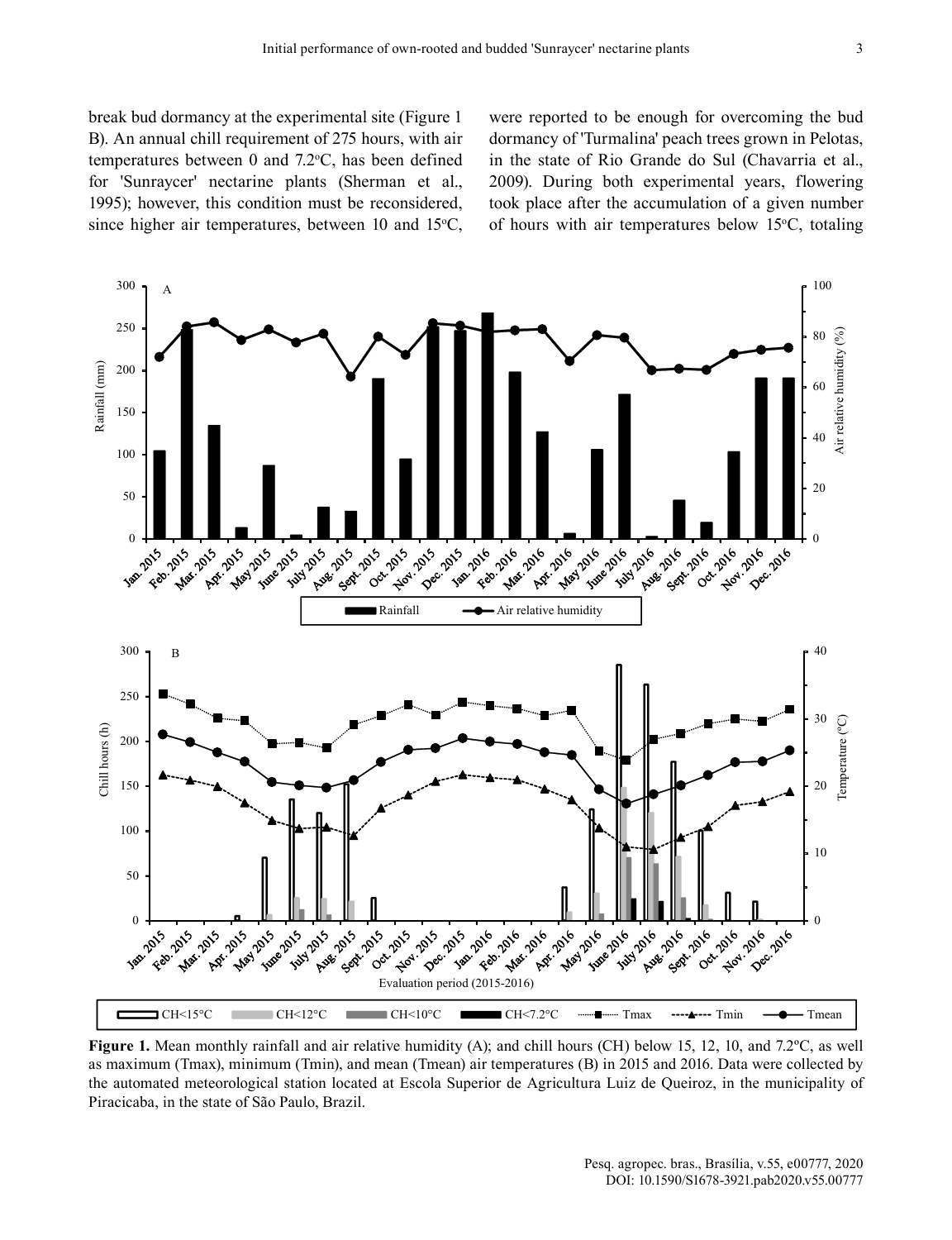break bud dormancy at the experimental site (Figure 1 B). An annual chill requirement of 275 hours, with air temperatures between  $0$  and  $7.2$ °C, has been defined for 'Sunraycer' nectarine plants (Sherman et al., 1995); however, this condition must be reconsidered, since higher air temperatures, between 10 and  $15^{\circ}$ C, were reported to be enough for overcoming the bud dormancy of 'Turmalina' peach trees grown in Pelotas, in the state of Rio Grande do Sul (Chavarria et al., 2009). During both experimental years, flowering took place after the accumulation of a given number of hours with air temperatures below  $15^{\circ}$ C, totaling



**Figure 1.** Mean monthly rainfall and air relative humidity (A); and chill hours (CH) below 15, 12, 10, and 7.2ºC, as well as maximum (Tmax), minimum (Tmin), and mean (Tmean) air temperatures (B) in 2015 and 2016. Data were collected by the automated meteorological station located at Escola Superior de Agricultura Luiz de Queiroz, in the municipality of Piracicaba, in the state of São Paulo, Brazil.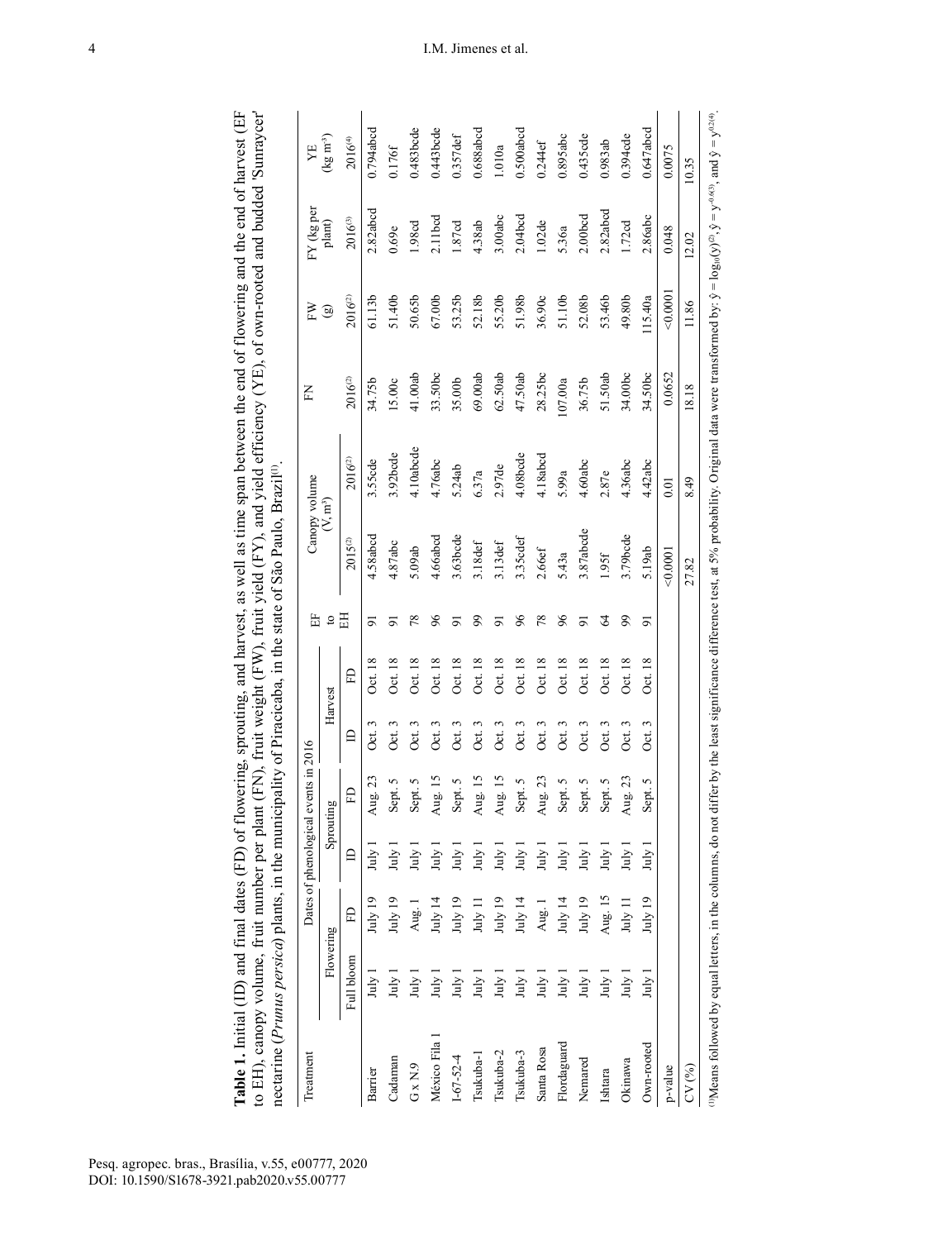|                                                                                                                                                               |                                                                                                              | YE                    | $\left(kg\ m^3\right)$          | 2016(4)             |
|---------------------------------------------------------------------------------------------------------------------------------------------------------------|--------------------------------------------------------------------------------------------------------------|-----------------------|---------------------------------|---------------------|
|                                                                                                                                                               | t (FN), fruit weight (FW), fruit yield (FY), and yield efficiency (YE), of own-rooted and budded 'Sunraycer' | FY (kg per            | plant)                          | 2016(3)             |
|                                                                                                                                                               |                                                                                                              | EN                    | $\mathbf{G}$                    | 2016 <sup>(2)</sup> |
|                                                                                                                                                               |                                                                                                              | E                     |                                 | $2016^{(2)}$        |
|                                                                                                                                                               |                                                                                                              |                       |                                 | 2016 <sup>(2)</sup> |
|                                                                                                                                                               | ipality of Piracicaba, in the state of São Paulo, Brazil <sup>(1)</sup> .                                    | Canopy volume         | $(\mathcal{N}, \mathfrak{m}^3)$ | $2015^{(2)}$        |
|                                                                                                                                                               |                                                                                                              | 뚬                     |                                 | 田                   |
|                                                                                                                                                               |                                                                                                              |                       |                                 | FD                  |
|                                                                                                                                                               |                                                                                                              |                       | Harvest                         |                     |
|                                                                                                                                                               |                                                                                                              | events in $2016$      | ăυ                              | £                   |
|                                                                                                                                                               |                                                                                                              | Dates of phenological | Sprouti                         |                     |
|                                                                                                                                                               |                                                                                                              |                       |                                 |                     |
|                                                                                                                                                               |                                                                                                              |                       | Flowering                       |                     |
| Table 1. Initial (ID) and final dates (FD) of flowering, sprouting, and harvest, as well as time span between the end of flowering and the end of harvest (EF | to EH), canopy volume, fruit number per plan<br>nectarine ( <i>Prunus persica</i> ) plants, in the munic     | Featmen               |                                 |                     |
| Pesq. agropec. bras., Brasília, v.55, e00777, 202<br>DOI: 10.1590/S1678-3921.pab2020.v55.00777                                                                |                                                                                                              |                       |                                 |                     |

| Treatment                                                                                                                                                                                                                                                      |            |           |                  | Dates of phenological events in 2016 |              |         | Ë              | Canopy volume |              | E            | FW                  | FY (kg per          | YE                                     |
|----------------------------------------------------------------------------------------------------------------------------------------------------------------------------------------------------------------------------------------------------------------|------------|-----------|------------------|--------------------------------------|--------------|---------|----------------|---------------|--------------|--------------|---------------------|---------------------|----------------------------------------|
|                                                                                                                                                                                                                                                                | Flowering  |           |                  | Sprouting                            | Harvest      |         | S,             | $(V, m^3)$    |              |              | ම                   | plant)              | $\left(\text{kg m}^{\text{-3}}\right)$ |
|                                                                                                                                                                                                                                                                | Full bloom | ED        | $\triangle$      | ED                                   | $\mathbf{r}$ | Ë       | H              | $2015^{(2)}$  | $2016^{(2)}$ | $2016^{(2)}$ | 2016 <sup>(2)</sup> | $2016^{(3)}$        | 2016(4)                                |
| Barrier                                                                                                                                                                                                                                                        | July 1     | July 19   | July             | Aug. 23                              | Oct. 3       | Oct. 18 | 5              | 4.58abcd      | 3.55cde      | 34.75b       | 61.13b              | 2.82abcd            | 0.794abcd                              |
| Cadaman                                                                                                                                                                                                                                                        | $July$ 1   | July 19   | July             | Sept. 5                              | Oct. 3       | Oct. 18 | $\overline{5}$ | 4.87abc       | 3.92bcde     | 15.00c       | 51.40b              | 0.69e               | 0.176f                                 |
| $G \times N.9$                                                                                                                                                                                                                                                 | July       | Aug. 1    | $July$ 1         | Sept. 5                              | Oct. 3       | Oct. 18 | 78             | 5.09ab        | 4.10abcde    | 41.00ab      | 50.65b              | 1.98cd              | 0.483bcde                              |
| México Fila                                                                                                                                                                                                                                                    | July       | July 14   | July             | Aug. 15                              | 3<br>Öct.    | Oct. 18 | 66             | 4.66abcd      | 4.76abc      | 33.50bc      | 67.00               | $2.11$ bcd          | 0.443bcde                              |
| $1 - 67 - 52 - 4$                                                                                                                                                                                                                                              | July       | July 19   | July             | Sept. 5                              | 3<br>Oct.    | Oct. 18 | $\overline{5}$ | 3.63bcde      | 5.24ab       | 35.00b       | 53.25b              | 1.87cd              | $0.357$ def                            |
| Tsukuba-1                                                                                                                                                                                                                                                      | July       | July 11   | July             | Aug. 15                              | Oct. 3       | Oct. 18 | 99             | 3.18def       | 6.37a        | 69.00ab      | 52.18b              | 4.38ab              | 0.688abcd                              |
| Tsukuba-2                                                                                                                                                                                                                                                      | $July$ 1   | July 19   | $\lim_{y \to 0}$ | Aug. 15                              | Oct. 3       | Oct. 18 |                | 3.13def       | 2.97de       | 62.50ab      | 55.20b              | 3.00abc             | 1.010a                                 |
| Tsukuba-3                                                                                                                                                                                                                                                      | luly 1     | July 14   | $July$ 1         | Sept. 5                              | Oct. 3       | Oct. 18 | $\delta$       | 3.35cdef      | 4.08bcde     | 47.50ab      | 51.98b              | 2.04 <sub>bcd</sub> | $0.500$ abcd                           |
| Santa Rosa                                                                                                                                                                                                                                                     | $July$ 1   | Aug. 1    | $July$ 1         | Aug. 23                              | Oct. 3       | Oct. 18 | 78             | 2.66ef        | 4.18abcd     | 28.25bc      | 36.90c              | 1.02de              | $0.244$ ef                             |
| Flordaguard                                                                                                                                                                                                                                                    | $July$ 1   | July $14$ | $\frac{1}{2}$    | Sept. 5                              | 3<br>Oct.    | Oct. 18 | 96             | 5.43a         | 5.99a        | 107.00a      | 51.10b              | 5.36a               | 0.895abc                               |
| Nemared                                                                                                                                                                                                                                                        | $July$ 1   | July 19   | $\frac{1}{2}$    | Sept. 5                              | Oct. 3       | Oct. 18 | $\overline{5}$ | 3.87abcde     | 4.60abc      | 36.75b       | 52.08b              | 2.00 <sub>bcd</sub> | 0.435 cde                              |
| Ishtara                                                                                                                                                                                                                                                        | July       | Aug. 15   | $\lim_{x\to 0}$  | Sept. 5                              | Oct. 3       | Oct. 18 | 2              | 1.95f         | 2.87e        | 51.50ab      | 53.46b              | 2.82abcd            | 0.983ab                                |
| Okinawa                                                                                                                                                                                                                                                        | luly 1     | July 11   | $\frac{1}{2}$    | Aug. 23                              | Oct. 3       | Oct. 18 | 99             | 3.79bcde      | 4.36abc      | 34.00bc      | 49.80b              | 1.72cd              | 0.394cde                               |
| Own-rooted                                                                                                                                                                                                                                                     | July:      | July 19   | huly             | Sept. 5                              | Oct. 3       | Oct. 18 | $\overline{5}$ | 5.19ab        | 4.42abc      | 34.50bc      | 115.40a             | 2.86abc             | $0.647$ abcd                           |
| p-value                                                                                                                                                                                                                                                        |            |           |                  |                                      |              |         |                | $-0.0001$     | 0.01         | 0.0652       | 0.0001              | 0.048               | 0.0075                                 |
| CV(%)                                                                                                                                                                                                                                                          |            |           |                  |                                      |              |         |                | 27.82         | 8.49         | 18.18        | 11.86               | 12.02               | 10.35                                  |
| <sup>(0)</sup> Means followed by equal letters, in the columns, do not differ by the least significance difference test, at 5% probability. Original data were transformed by: $\hat{y} = \log_0(y)^{2}$ , $\hat{y} = y^{0.2(4)}$ , and $\hat{y} = y^{0.2(4)}$ |            |           |                  |                                      |              |         |                |               |              |              |                     |                     |                                        |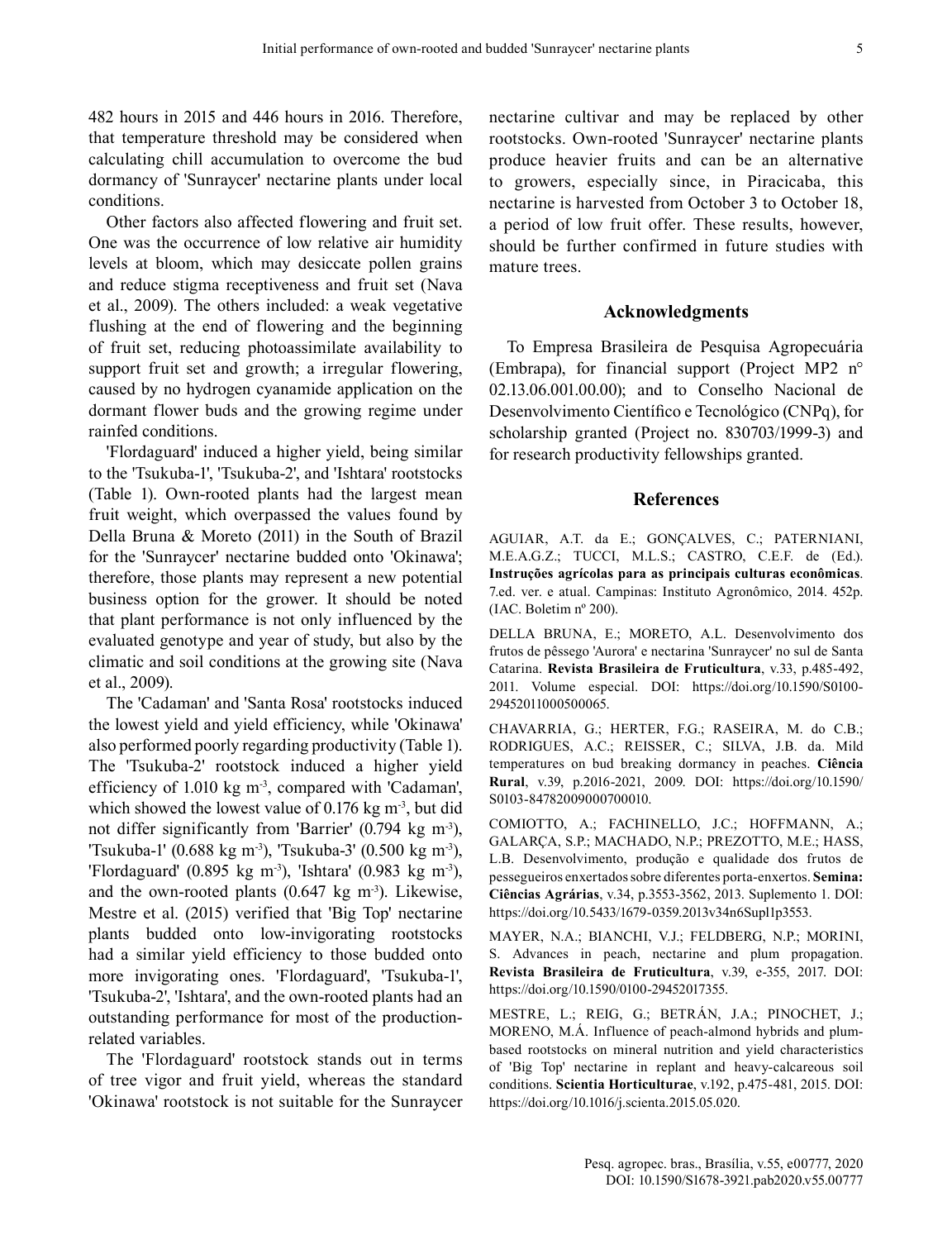482 hours in 2015 and 446 hours in 2016. Therefore, that temperature threshold may be considered when calculating chill accumulation to overcome the bud dormancy of 'Sunraycer' nectarine plants under local conditions.

Other factors also affected flowering and fruit set. One was the occurrence of low relative air humidity levels at bloom, which may desiccate pollen grains and reduce stigma receptiveness and fruit set (Nava et al., 2009). The others included: a weak vegetative flushing at the end of flowering and the beginning of fruit set, reducing photoassimilate availability to support fruit set and growth; a irregular flowering, caused by no hydrogen cyanamide application on the dormant flower buds and the growing regime under rainfed conditions.

'Flordaguard' induced a higher yield, being similar to the 'Tsukuba-1', 'Tsukuba-2', and 'Ishtara' rootstocks (Table 1). Own-rooted plants had the largest mean fruit weight, which overpassed the values found by Della Bruna & Moreto (2011) in the South of Brazil for the 'Sunraycer' nectarine budded onto 'Okinawa'; therefore, those plants may represent a new potential business option for the grower. It should be noted that plant performance is not only influenced by the evaluated genotype and year of study, but also by the climatic and soil conditions at the growing site (Nava et al., 2009).

The 'Cadaman' and 'Santa Rosa' rootstocks induced the lowest yield and yield efficiency, while 'Okinawa' also performed poorly regarding productivity (Table 1). The 'Tsukuba-2' rootstock induced a higher yield efficiency of  $1.010 \text{ kg m}^3$ , compared with 'Cadaman', which showed the lowest value of  $0.176$  kg m<sup>-3</sup>, but did not differ significantly from 'Barrier'  $(0.794 \text{ kg m}^3)$ , 'Tsukuba-1' (0.688 kg m<sup>-3</sup>), 'Tsukuba-3' (0.500 kg m<sup>-3</sup>), 'Flordaguard' (0.895 kg m<sup>-3</sup>), 'Ishtara' (0.983 kg m<sup>-3</sup>), and the own-rooted plants  $(0.647 \text{ kg m}^3)$ . Likewise, Mestre et al. (2015) verified that 'Big Top' nectarine plants budded onto low-invigorating rootstocks had a similar yield efficiency to those budded onto more invigorating ones. 'Flordaguard', 'Tsukuba-1', 'Tsukuba-2', 'Ishtara', and the own-rooted plants had an outstanding performance for most of the productionrelated variables.

The 'Flordaguard' rootstock stands out in terms of tree vigor and fruit yield, whereas the standard 'Okinawa' rootstock is not suitable for the Sunraycer nectarine cultivar and may be replaced by other rootstocks. Own-rooted 'Sunraycer' nectarine plants produce heavier fruits and can be an alternative to growers, especially since, in Piracicaba, this nectarine is harvested from October 3 to October 18, a period of low fruit offer. These results, however, should be further confirmed in future studies with mature trees.

## **Acknowledgments**

To Empresa Brasileira de Pesquisa Agropecuária (Embrapa), for financial support (Project MP2 n° 02.13.06.001.00.00); and to Conselho Nacional de Desenvolvimento Científico e Tecnológico (CNPq), for scholarship granted (Project no. 830703/1999-3) and for research productivity fellowships granted.

### **References**

AGUIAR, A.T. da E.; GONÇALVES, C.; PATERNIANI, M.E.A.G.Z.; TUCCI, M.L.S.; CASTRO, C.E.F. de (Ed.). **Instruções agrícolas para as principais culturas econômicas**. 7.ed. ver. e atual. Campinas: Instituto Agronômico, 2014. 452p. (IAC. Boletim nº 200).

DELLA BRUNA, E.; MORETO, A.L. Desenvolvimento dos frutos de pêssego 'Aurora' e nectarina 'Sunraycer' no sul de Santa Catarina. **Revista Brasileira de Fruticultura**, v.33, p.485-492, 2011. Volume especial. DOI: https://doi.org/10.1590/S0100- 29452011000500065.

CHAVARRIA, G.; HERTER, F.G.; RASEIRA, M. do C.B.; RODRIGUES, A.C.; REISSER, C.; SILVA, J.B. da. Mild temperatures on bud breaking dormancy in peaches. **Ciência Rural**, v.39, p.2016-2021, 2009. DOI: https://doi.org/10.1590/ S0103-84782009000700010.

COMIOTTO, A.; FACHINELLO, J.C.; HOFFMANN, A.; GALARÇA, S.P.; MACHADO, N.P.; PREZOTTO, M.E.; HASS, L.B. Desenvolvimento, produção e qualidade dos frutos de pessegueiros enxertados sobre diferentes porta-enxertos. **Semina: Ciências Agrárias**, v.34, p.3553-3562, 2013. Suplemento 1. DOI: https://doi.org/10.5433/1679-0359.2013v34n6Supl1p3553.

MAYER, N.A.; BIANCHI, V.J.; FELDBERG, N.P.; MORINI, S. Advances in peach, nectarine and plum propagation. **Revista Brasileira de Fruticultura**, v.39, e-355, 2017. DOI: https://doi.org/10.1590/0100-29452017355.

MESTRE, L.; REIG, G.; BETRÁN, J.A.; PINOCHET, J.; MORENO, M.Á. Influence of peach-almond hybrids and plumbased rootstocks on mineral nutrition and yield characteristics of 'Big Top' nectarine in replant and heavy-calcareous soil conditions. **Scientia Horticulturae**, v.192, p.475-481, 2015. DOI: https://doi.org/10.1016/j.scienta.2015.05.020.